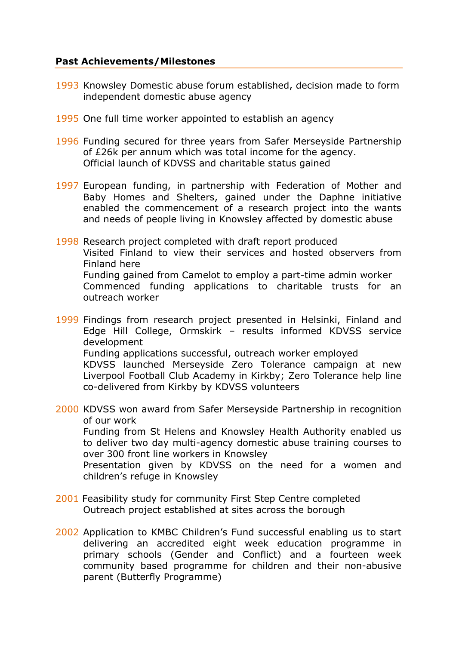## **Past Achievements/Milestones**

- 1993 Knowsley Domestic abuse forum established, decision made to form independent domestic abuse agency
- 1995 One full time worker appointed to establish an agency
- 1996 Funding secured for three years from Safer Merseyside Partnership of £26k per annum which was total income for the agency. Official launch of KDVSS and charitable status gained
- 1997 European funding, in partnership with Federation of Mother and Baby Homes and Shelters, gained under the Daphne initiative enabled the commencement of a research project into the wants and needs of people living in Knowsley affected by domestic abuse
- 1998 Research project completed with draft report produced Visited Finland to view their services and hosted observers from Finland here Funding gained from Camelot to employ a part-time admin worker Commenced funding applications to charitable trusts for an outreach worker

1999 Findings from research project presented in Helsinki, Finland and Edge Hill College, Ormskirk – results informed KDVSS service development Funding applications successful, outreach worker employed KDVSS launched Merseyside Zero Tolerance campaign at new Liverpool Football Club Academy in Kirkby; Zero Tolerance help line co-delivered from Kirkby by KDVSS volunteers

2000 KDVSS won award from Safer Merseyside Partnership in recognition of our work Funding from St Helens and Knowsley Health Authority enabled us to deliver two day multi-agency domestic abuse training courses to over 300 front line workers in Knowsley Presentation given by KDVSS on the need for a women and children's refuge in Knowsley

- 2001 Feasibility study for community First Step Centre completed Outreach project established at sites across the borough
- 2002 Application to KMBC Children's Fund successful enabling us to start delivering an accredited eight week education programme in primary schools (Gender and Conflict) and a fourteen week community based programme for children and their non-abusive parent (Butterfly Programme)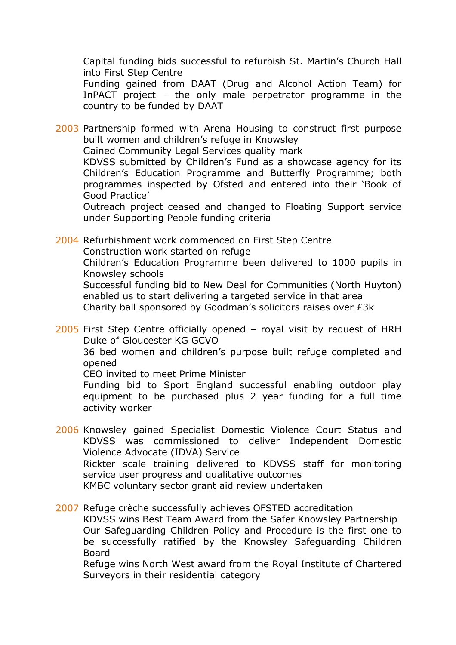Capital funding bids successful to refurbish St. Martin's Church Hall into First Step Centre

Funding gained from DAAT (Drug and Alcohol Action Team) for InPACT project – the only male perpetrator programme in the country to be funded by DAAT

2003 Partnership formed with Arena Housing to construct first purpose built women and children's refuge in Knowsley

Gained Community Legal Services quality mark

KDVSS submitted by Children's Fund as a showcase agency for its Children's Education Programme and Butterfly Programme; both programmes inspected by Ofsted and entered into their 'Book of Good Practice'

Outreach project ceased and changed to Floating Support service under Supporting People funding criteria

2004 Refurbishment work commenced on First Step Centre Construction work started on refuge Children's Education Programme been delivered to 1000 pupils in Knowsley schools Successful funding bid to New Deal for Communities (North Huyton)

enabled us to start delivering a targeted service in that area Charity ball sponsored by Goodman's solicitors raises over £3k

2005 First Step Centre officially opened – royal visit by request of HRH Duke of Gloucester KG GCVO

36 bed women and children's purpose built refuge completed and opened

CEO invited to meet Prime Minister

Funding bid to Sport England successful enabling outdoor play equipment to be purchased plus 2 year funding for a full time activity worker

2006 Knowsley gained Specialist Domestic Violence Court Status and KDVSS was commissioned to deliver Independent Domestic Violence Advocate (IDVA) Service Rickter scale training delivered to KDVSS staff for monitoring service user progress and qualitative outcomes KMBC voluntary sector grant aid review undertaken

2007 Refuge crèche successfully achieves OFSTED accreditation KDVSS wins Best Team Award from the Safer Knowsley Partnership Our Safeguarding Children Policy and Procedure is the first one to be successfully ratified by the Knowsley Safeguarding Children Board

Refuge wins North West award from the Royal Institute of Chartered Surveyors in their residential category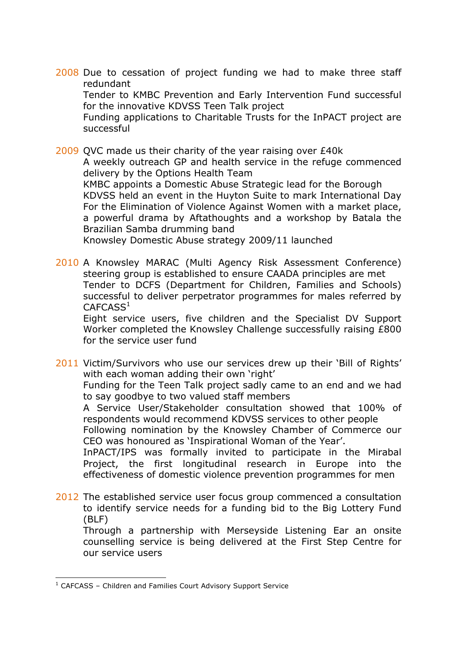2008 Due to cessation of project funding we had to make three staff redundant

Tender to KMBC Prevention and Early Intervention Fund successful for the innovative KDVSS Teen Talk project

Funding applications to Charitable Trusts for the InPACT project are successful

2009 QVC made us their charity of the year raising over £40k A weekly outreach GP and health service in the refuge commenced delivery by the Options Health Team KMBC appoints a Domestic Abuse Strategic lead for the Borough KDVSS held an event in the Huyton Suite to mark International Day For the Elimination of Violence Against Women with a market place, a powerful drama by Aftathoughts and a workshop by Batala the Brazilian Samba drumming band Knowsley Domestic Abuse strategy 2009/11 launched

2010 A Knowsley MARAC (Multi Agency Risk Assessment Conference) steering group is established to ensure CAADA principles are met Tender to DCFS (Department for Children, Families and Schools) successful to deliver perpetrator programmes for males referred by  $CAFCASS<sup>1</sup>$ 

Eight service users, five children and the Specialist DV Support Worker completed the Knowsley Challenge successfully raising £800 for the service user fund

2011 Victim/Survivors who use our services drew up their 'Bill of Rights' with each woman adding their own 'right'

Funding for the Teen Talk project sadly came to an end and we had to say goodbye to two valued staff members

A Service User/Stakeholder consultation showed that 100% of respondents would recommend KDVSS services to other people

Following nomination by the Knowsley Chamber of Commerce our CEO was honoured as 'Inspirational Woman of the Year'.

InPACT/IPS was formally invited to participate in the Mirabal Project, the first longitudinal research in Europe into the effectiveness of domestic violence prevention programmes for men

2012 The established service user focus group commenced a consultation to identify service needs for a funding bid to the Big Lottery Fund (BLF)

Through a partnership with Merseyside Listening Ear an onsite counselling service is being delivered at the First Step Centre for our service users

<u> 1989 - Jan Samuel Barbara, margaret e</u>

 $1$  CAFCASS – Children and Families Court Advisory Support Service